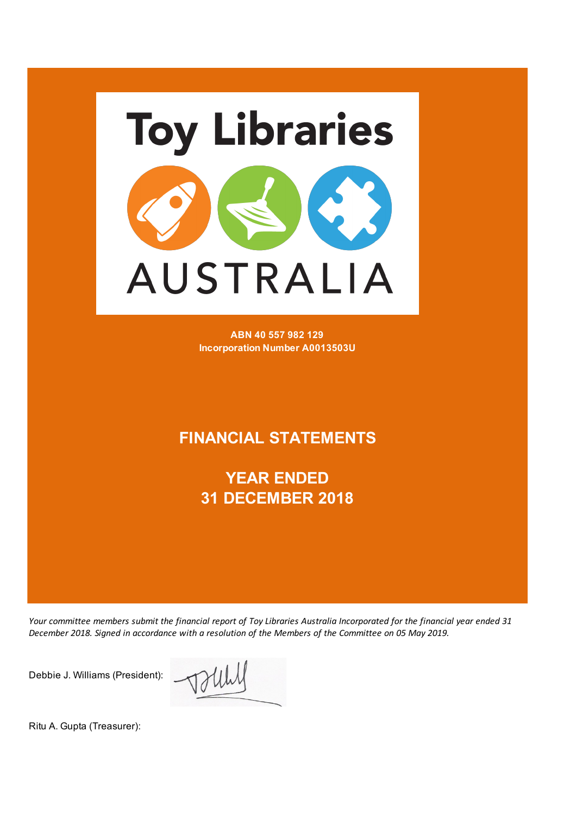

**ABN 40 557 982 129 Incorporation Number A0013503U**

### **FINANCIAL STATEMENTS**

**YEAR ENDED 31 DECEMBER 2018**

*Your committee members submit the financial report of Toy Libraries Australia Incorporated for the financial year ended 31 December 2018. Signed in accordance with a resolution of the Members of the Committee on 05 May 2019.*

Debbie J. Williams (President):

Ritu A. Gupta (Treasurer):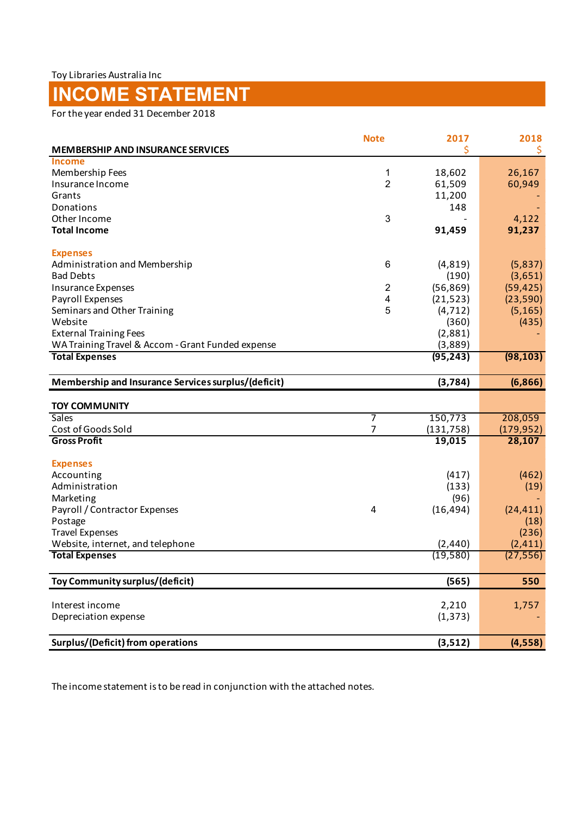# **INCOME STATEMENT**

For the year ended 31 December 2018

|                                                     | <b>Note</b>    | 2017       | 2018       |
|-----------------------------------------------------|----------------|------------|------------|
| <b>MEMBERSHIP AND INSURANCE SERVICES</b>            |                |            | \$         |
| <b>Income</b>                                       |                |            |            |
| Membership Fees                                     | 1              | 18,602     | 26,167     |
| Insurance Income                                    | $\overline{2}$ | 61,509     | 60,949     |
| Grants                                              |                | 11,200     |            |
| Donations                                           |                | 148        |            |
| Other Income                                        | 3              |            | 4,122      |
| <b>Total Income</b>                                 |                | 91,459     | 91,237     |
| <b>Expenses</b>                                     |                |            |            |
| Administration and Membership                       | 6              | (4, 819)   | (5,837)    |
| <b>Bad Debts</b>                                    |                | (190)      | (3,651)    |
| Insurance Expenses                                  | $\overline{c}$ | (56, 869)  | (59, 425)  |
| Payroll Expenses                                    | 4              | (21, 523)  | (23, 590)  |
| Seminars and Other Training                         | 5              | (4, 712)   | (5, 165)   |
| Website                                             |                | (360)      | (435)      |
| <b>External Training Fees</b>                       |                | (2,881)    |            |
| WA Training Travel & Accom - Grant Funded expense   |                | (3,889)    |            |
| <b>Total Expenses</b>                               |                | (95, 243)  | (98, 103)  |
| Membership and Insurance Services surplus/(deficit) |                | (3,784)    | (6,866)    |
|                                                     |                |            |            |
| <b>TOY COMMUNITY</b>                                |                |            |            |
| <b>Sales</b>                                        | 7              | 150,773    | 208,059    |
| Cost of Goods Sold                                  | 7              | (131, 758) | (179, 952) |
| <b>Gross Profit</b>                                 |                | 19,015     | 28,107     |
| <b>Expenses</b>                                     |                |            |            |
| Accounting                                          |                | (417)      | (462)      |
| Administration                                      |                | (133)      | (19)       |
| Marketing                                           |                | (96)       |            |
| Payroll / Contractor Expenses                       | 4              | (16, 494)  | (24, 411)  |
| Postage                                             |                |            | (18)       |
| <b>Travel Expenses</b>                              |                |            | (236)      |
| Website, internet, and telephone                    |                | (2, 440)   | (2, 411)   |
| <b>Total Expenses</b>                               |                | (19, 580)  | (27, 556)  |
| Toy Community surplus/(deficit)                     |                | (565)      | 550        |
|                                                     |                |            |            |
| Interest income                                     |                | 2,210      | 1,757      |
| Depreciation expense                                |                | (1, 373)   |            |
| <b>Surplus/(Deficit) from operations</b>            |                | (3, 512)   | (4, 558)   |
|                                                     |                |            |            |

The income statement is to be read in conjunction with the attached notes.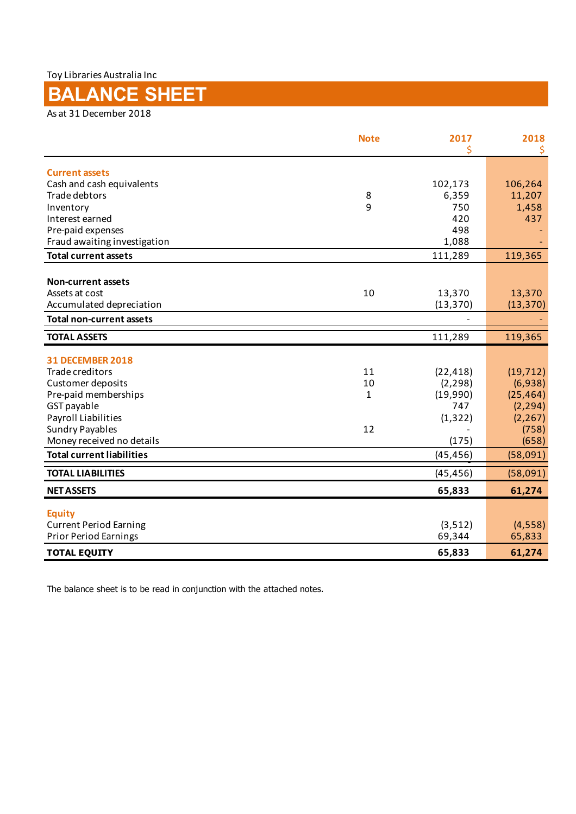Toy Libraries Australia Inc

## **BALANCE SHEET**

As at 31 December 2018

|                                            | <b>Note</b> | 2017                | 2018<br>\$ |
|--------------------------------------------|-------------|---------------------|------------|
| <b>Current assets</b>                      |             |                     |            |
| Cash and cash equivalents                  |             | 102,173             | 106,264    |
| Trade debtors                              | 8           | 6,359               | 11,207     |
| Inventory                                  | 9           | 750                 | 1,458      |
| Interest earned                            |             | 420                 | 437        |
| Pre-paid expenses                          |             | 498                 |            |
| Fraud awaiting investigation               |             | 1,088               |            |
| <b>Total current assets</b>                |             | 111,289             | 119,365    |
|                                            |             |                     |            |
| <b>Non-current assets</b>                  |             |                     |            |
| Assets at cost<br>Accumulated depreciation | 10          | 13,370<br>(13, 370) | 13,370     |
|                                            |             |                     | (13, 370)  |
| <b>Total non-current assets</b>            |             |                     |            |
| <b>TOTAL ASSETS</b>                        |             | 111,289             | 119,365    |
| <b>31 DECEMBER 2018</b>                    |             |                     |            |
| Trade creditors                            | 11          | (22, 418)           | (19, 712)  |
| Customer deposits                          | 10          | (2, 298)            | (6,938)    |
| Pre-paid memberships                       | 1           | (19,990)            | (25, 464)  |
| GST payable                                |             | 747                 | (2, 294)   |
| Payroll Liabilities                        |             | (1, 322)            | (2, 267)   |
| <b>Sundry Payables</b>                     | 12          |                     | (758)      |
| Money received no details                  |             | (175)               | (658)      |
| <b>Total current liabilities</b>           |             | (45, 456)           | (58,091)   |
| <b>TOTAL LIABILITIES</b>                   |             | (45, 456)           | (58,091)   |
| <b>NET ASSETS</b>                          |             | 65,833              | 61,274     |
| <b>Equity</b>                              |             |                     |            |
| <b>Current Period Earning</b>              |             | (3, 512)            | (4, 558)   |
| <b>Prior Period Earnings</b>               |             | 69,344              | 65,833     |
| <b>TOTAL EQUITY</b>                        |             | 65,833              | 61,274     |

The balance sheet is to be read in conjunction with the attached notes.